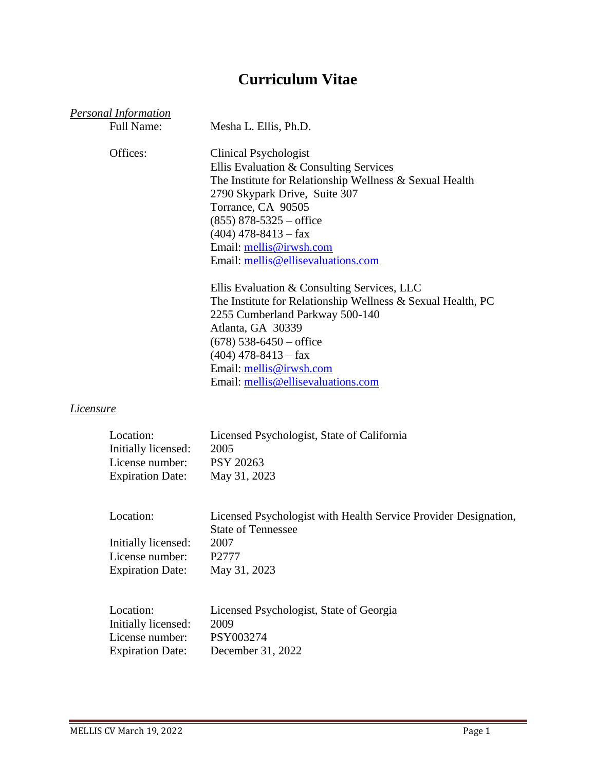# **Curriculum Vitae**

|                  | <b>Personal Information</b><br><b>Full Name:</b>                               | Mesha L. Ellis, Ph.D.                                                                                                                                                                                                                                                                                            |
|------------------|--------------------------------------------------------------------------------|------------------------------------------------------------------------------------------------------------------------------------------------------------------------------------------------------------------------------------------------------------------------------------------------------------------|
|                  | Offices:                                                                       | <b>Clinical Psychologist</b><br>Ellis Evaluation & Consulting Services<br>The Institute for Relationship Wellness & Sexual Health<br>2790 Skypark Drive, Suite 307<br>Torrance, CA 90505<br>$(855)$ 878-5325 – office<br>$(404)$ 478-8413 – fax<br>Email: mellis@irwsh.com<br>Email: mellis@ellisevaluations.com |
|                  |                                                                                | Ellis Evaluation & Consulting Services, LLC<br>The Institute for Relationship Wellness & Sexual Health, PC<br>2255 Cumberland Parkway 500-140<br>Atlanta, GA 30339<br>$(678)$ 538-6450 – office<br>$(404)$ 478-8413 – fax<br>Email: mellis@irwsh.com<br>Email: mellis@ellisevaluations.com                       |
| <u>Licensure</u> |                                                                                |                                                                                                                                                                                                                                                                                                                  |
|                  | Location:<br>Initially licensed:<br>License number:<br><b>Expiration Date:</b> | Licensed Psychologist, State of California<br>2005<br><b>PSY 20263</b><br>May 31, 2023                                                                                                                                                                                                                           |
|                  | Location:<br>Initially licensed:<br>License number:<br><b>Expiration Date:</b> | Licensed Psychologist with Health Service Provider Designation,<br><b>State of Tennessee</b><br>2007<br>P2777<br>May 31, 2023                                                                                                                                                                                    |
|                  | Location:<br>Initially licensed:<br>License number:<br><b>Expiration Date:</b> | Licensed Psychologist, State of Georgia<br>2009<br>PSY003274<br>December 31, 2022                                                                                                                                                                                                                                |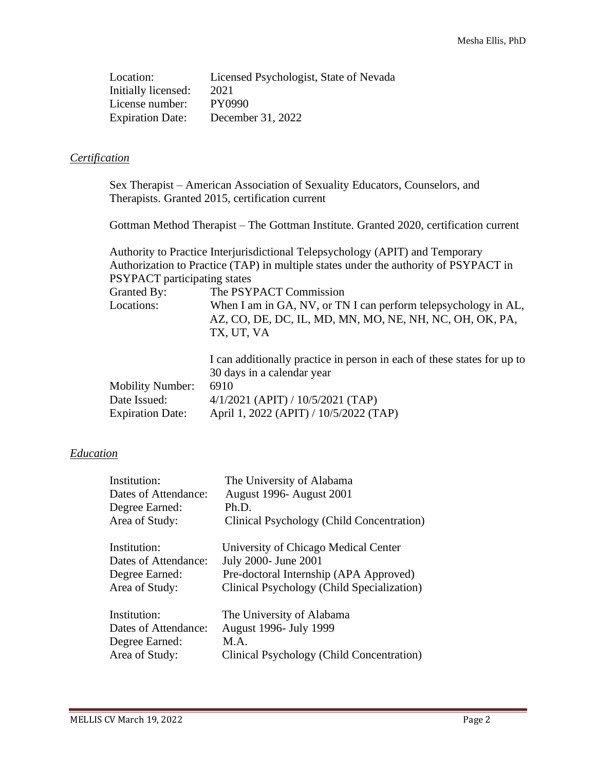Location: Licensed Psychologist, State of Nevada Initially licensed: 2021 License number: PY0990 Expiration Date: December 31, 2022

## *Certification*

Sex Therapist – American Association of Sexuality Educators, Counselors, and Therapists. Granted 2015, certification current

Gottman Method Therapist – The Gottman Institute. Granted 2020, certification current

|                                     | Authority to Practice Interjurisdictional Telepsychology (APIT) and Temporary                                                           |
|-------------------------------------|-----------------------------------------------------------------------------------------------------------------------------------------|
|                                     | Authorization to Practice (TAP) in multiple states under the authority of PSYPACT in                                                    |
| <b>PSYPACT</b> participating states |                                                                                                                                         |
| Granted By:                         | The PSYPACT Commission                                                                                                                  |
| Locations:                          | When I am in GA, NV, or TN I can perform telepsychology in AL,<br>AZ, CO, DE, DC, IL, MD, MN, MO, NE, NH, NC, OH, OK, PA,<br>TX, UT, VA |
| <b>Mobility Number:</b>             | I can additionally practice in person in each of these states for up to<br>30 days in a calendar year<br>6910                           |
| Date Issued:                        | $4/1/2021$ (APIT) / $10/5/2021$ (TAP)                                                                                                   |
| <b>Expiration Date:</b>             | April 1, 2022 (APIT) / 10/5/2022 (TAP)                                                                                                  |

## *Education*

| Institution:         | The University of Alabama                  |
|----------------------|--------------------------------------------|
| Dates of Attendance: | <b>August 1996- August 2001</b>            |
| Degree Earned:       | Ph.D.                                      |
| Area of Study:       | Clinical Psychology (Child Concentration)  |
| Institution:         | University of Chicago Medical Center       |
| Dates of Attendance: | July 2000- June 2001                       |
| Degree Earned:       | Pre-doctoral Internship (APA Approved)     |
| Area of Study:       | Clinical Psychology (Child Specialization) |
| Institution:         | The University of Alabama                  |
| Dates of Attendance: | <b>August 1996- July 1999</b>              |
| Degree Earned:       | M.A.                                       |
| Area of Study:       | Clinical Psychology (Child Concentration)  |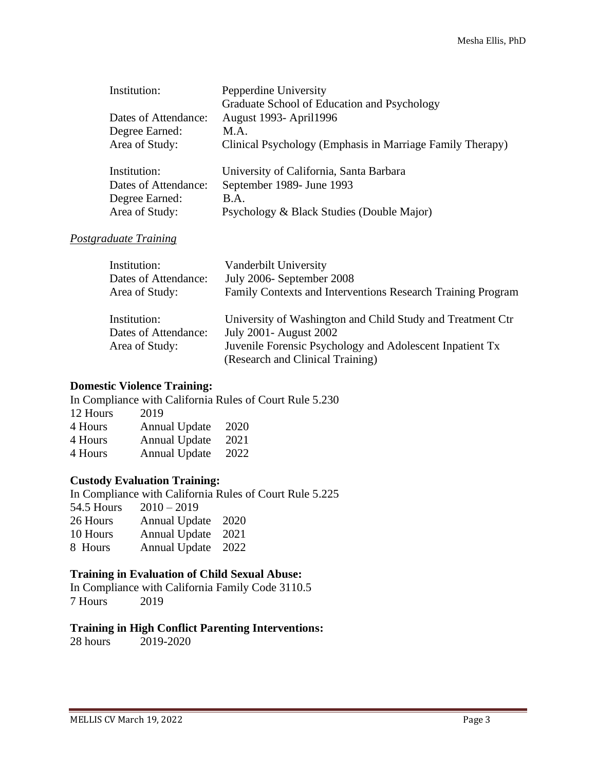| Institution:         | Pepperdine University                                     |  |
|----------------------|-----------------------------------------------------------|--|
|                      | Graduate School of Education and Psychology               |  |
| Dates of Attendance: | <b>August 1993- April 1996</b>                            |  |
| Degree Earned:       | M.A.                                                      |  |
| Area of Study:       | Clinical Psychology (Emphasis in Marriage Family Therapy) |  |
| Institution:         | University of California, Santa Barbara                   |  |
| Dates of Attendance: | September 1989- June 1993                                 |  |
| Degree Earned:       | <b>B.A.</b>                                               |  |
| Area of Study:       | Psychology & Black Studies (Double Major)                 |  |

#### *Postgraduate Training*

| Institution:         | Vanderbilt University                                       |
|----------------------|-------------------------------------------------------------|
| Dates of Attendance: | July 2006- September 2008                                   |
| Area of Study:       | Family Contexts and Interventions Research Training Program |
| Institution:         | University of Washington and Child Study and Treatment Ctr  |
| Dates of Attendance: | <b>July 2001- August 2002</b>                               |
| Area of Study:       | Juvenile Forensic Psychology and Adolescent Inpatient Tx    |
|                      | (Research and Clinical Training)                            |

#### **Domestic Violence Training:**

In Compliance with California Rules of Court Rule 5.230 12 Hours 2019

| 4 Hours | <b>Annual Update</b> | 2020 |
|---------|----------------------|------|
| 4 Hours | <b>Annual Update</b> | 2021 |
| 4 Hours | <b>Annual Update</b> | 2022 |

## **Custody Evaluation Training:**

In Compliance with California Rules of Court Rule 5.225 54.5 Hours 2010 – 2019 26 Hours Annual Update 2020 10 Hours Annual Update 2021 8 Hours Annual Update 2022

## **Training in Evaluation of Child Sexual Abuse:**

In Compliance with California Family Code 3110.5 7 Hours 2019

#### **Training in High Conflict Parenting Interventions:**

28 hours 2019-2020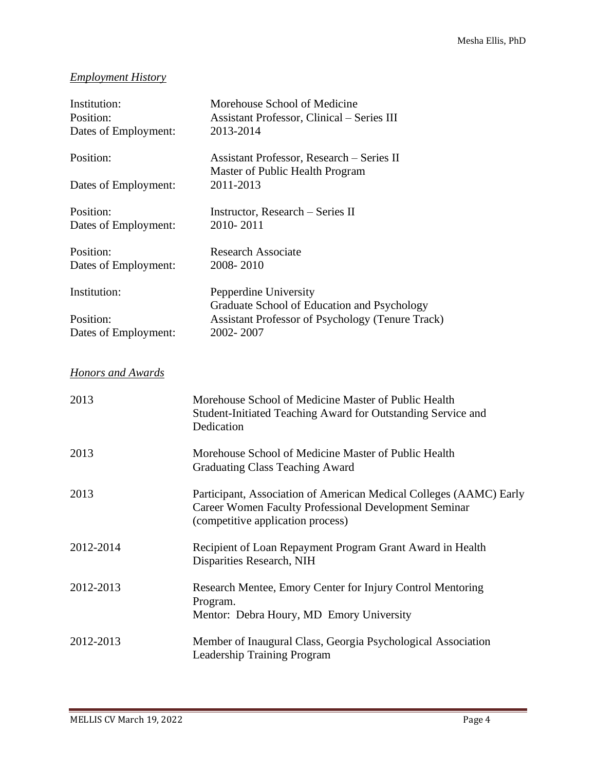# *Employment History*

| Institution:<br>Position:<br>Dates of Employment: | Morehouse School of Medicine<br><b>Assistant Professor, Clinical – Series III</b><br>2013-2014                                                                   |
|---------------------------------------------------|------------------------------------------------------------------------------------------------------------------------------------------------------------------|
| Position:                                         | Assistant Professor, Research - Series II<br>Master of Public Health Program                                                                                     |
| Dates of Employment:                              | 2011-2013                                                                                                                                                        |
| Position:<br>Dates of Employment:                 | Instructor, Research - Series II<br>2010-2011                                                                                                                    |
| Position:<br>Dates of Employment:                 | <b>Research Associate</b><br>2008-2010                                                                                                                           |
| Institution:                                      | Pepperdine University<br>Graduate School of Education and Psychology                                                                                             |
| Position:<br>Dates of Employment:                 | <b>Assistant Professor of Psychology (Tenure Track)</b><br>2002-2007                                                                                             |
| <b>Honors and Awards</b>                          |                                                                                                                                                                  |
| 2013                                              | Morehouse School of Medicine Master of Public Health<br>Student-Initiated Teaching Award for Outstanding Service and<br>Dedication                               |
| 2013                                              | Morehouse School of Medicine Master of Public Health<br><b>Graduating Class Teaching Award</b>                                                                   |
| 2013                                              | Participant, Association of American Medical Colleges (AAMC) Early<br>Career Women Faculty Professional Development Seminar<br>(competitive application process) |
| 2012-2014                                         | Recipient of Loan Repayment Program Grant Award in Health<br>Disparities Research, NIH                                                                           |
| 2012-2013                                         | Research Mentee, Emory Center for Injury Control Mentoring<br>Program.<br>Mentor: Debra Houry, MD Emory University                                               |
| 2012-2013                                         | Member of Inaugural Class, Georgia Psychological Association<br><b>Leadership Training Program</b>                                                               |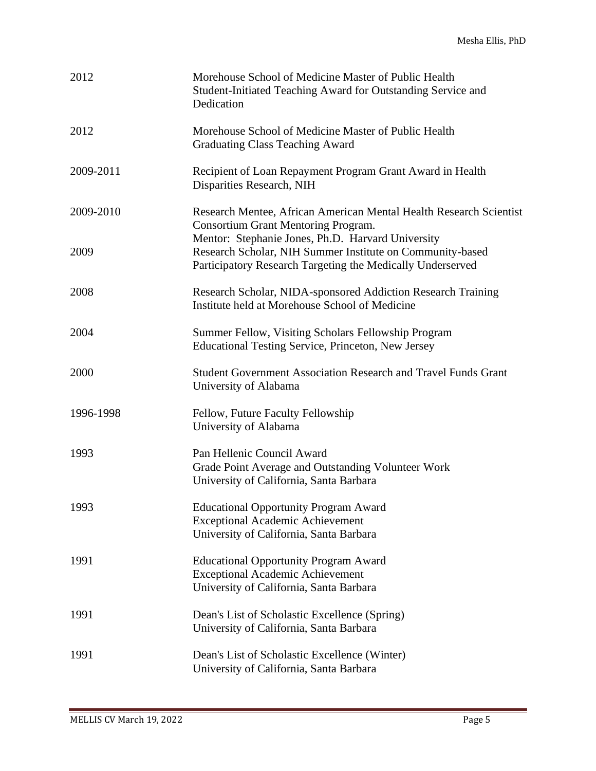| 2012      | Morehouse School of Medicine Master of Public Health<br>Student-Initiated Teaching Award for Outstanding Service and<br>Dedication                                           |
|-----------|------------------------------------------------------------------------------------------------------------------------------------------------------------------------------|
| 2012      | Morehouse School of Medicine Master of Public Health<br><b>Graduating Class Teaching Award</b>                                                                               |
| 2009-2011 | Recipient of Loan Repayment Program Grant Award in Health<br>Disparities Research, NIH                                                                                       |
| 2009-2010 | Research Mentee, African American Mental Health Research Scientist<br><b>Consortium Grant Mentoring Program.</b>                                                             |
| 2009      | Mentor: Stephanie Jones, Ph.D. Harvard University<br>Research Scholar, NIH Summer Institute on Community-based<br>Participatory Research Targeting the Medically Underserved |
| 2008      | Research Scholar, NIDA-sponsored Addiction Research Training<br>Institute held at Morehouse School of Medicine                                                               |
| 2004      | Summer Fellow, Visiting Scholars Fellowship Program<br>Educational Testing Service, Princeton, New Jersey                                                                    |
| 2000      | Student Government Association Research and Travel Funds Grant<br>University of Alabama                                                                                      |
| 1996-1998 | Fellow, Future Faculty Fellowship<br>University of Alabama                                                                                                                   |
| 1993      | Pan Hellenic Council Award<br>Grade Point Average and Outstanding Volunteer Work<br>University of California, Santa Barbara                                                  |
| 1993      | <b>Educational Opportunity Program Award</b><br><b>Exceptional Academic Achievement</b><br>University of California, Santa Barbara                                           |
| 1991      | <b>Educational Opportunity Program Award</b><br><b>Exceptional Academic Achievement</b><br>University of California, Santa Barbara                                           |
| 1991      | Dean's List of Scholastic Excellence (Spring)<br>University of California, Santa Barbara                                                                                     |
| 1991      | Dean's List of Scholastic Excellence (Winter)<br>University of California, Santa Barbara                                                                                     |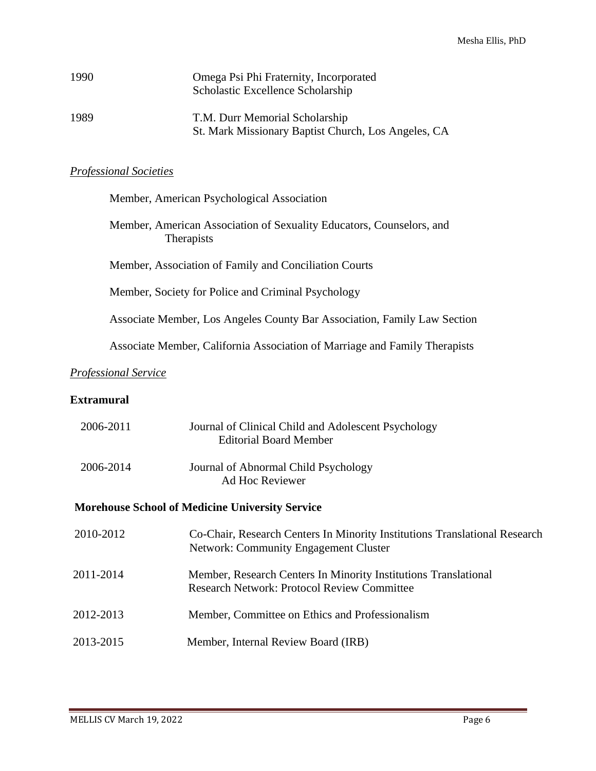| 1990 | Omega Psi Phi Fraternity, Incorporated<br>Scholastic Excellence Scholarship           |
|------|---------------------------------------------------------------------------------------|
| 1989 | T.M. Durr Memorial Scholarship<br>St. Mark Missionary Baptist Church, Los Angeles, CA |

## *Professional Societies*

| Member, American Psychological Association                                                |
|-------------------------------------------------------------------------------------------|
| Member, American Association of Sexuality Educators, Counselors, and<br><b>Therapists</b> |
| Member, Association of Family and Conciliation Courts                                     |
| Member, Society for Police and Criminal Psychology                                        |
| Associate Member, Los Angeles County Bar Association, Family Law Section                  |
| Associate Member, California Association of Marriage and Family Therapists                |
| <b>Professional Service</b>                                                               |
| <b>Extramural</b>                                                                         |

| 2006-2011 | Journal of Clinical Child and Adolescent Psychology<br><b>Editorial Board Member</b>                                       |
|-----------|----------------------------------------------------------------------------------------------------------------------------|
| 2006-2014 | Journal of Abnormal Child Psychology<br>Ad Hoc Reviewer                                                                    |
|           | <b>Morehouse School of Medicine University Service</b>                                                                     |
| 2010-2012 | Co-Chair, Research Centers In Minority Institutions Translational Research<br><b>Network: Community Engagement Cluster</b> |
| 2011-2014 | Member, Research Centers In Minority Institutions Translational<br><b>Research Network: Protocol Review Committee</b>      |
| 2012-2013 | Member, Committee on Ethics and Professionalism                                                                            |
| 2013-2015 | Member, Internal Review Board (IRB)                                                                                        |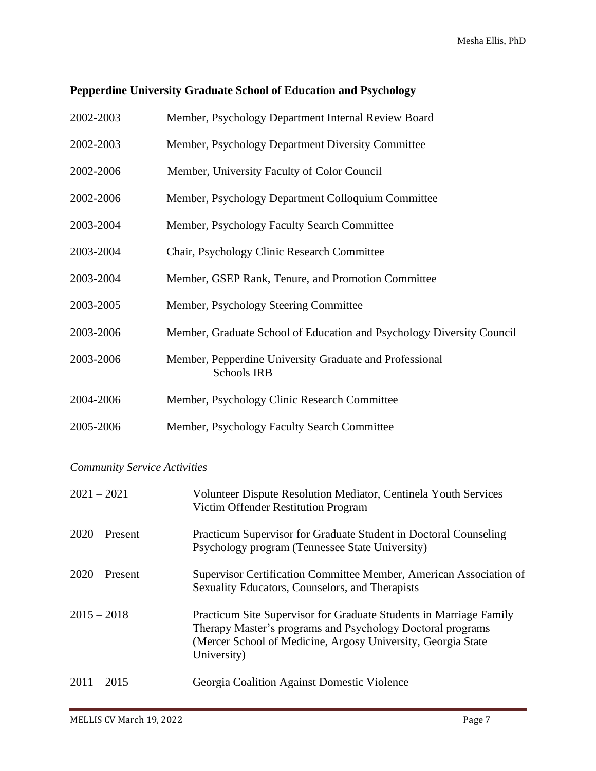## **Pepperdine University Graduate School of Education and Psychology**

| 2002-2003 | Member, Psychology Department Internal Review Board |
|-----------|-----------------------------------------------------|
|           |                                                     |

- 2002-2003 Member, Psychology Department Diversity Committee
- 2002-2006 Member, University Faculty of Color Council
- 2002-2006 Member, Psychology Department Colloquium Committee
- 2003-2004 Member, Psychology Faculty Search Committee
- 2003-2004 Chair, Psychology Clinic Research Committee
- 2003-2004 Member, GSEP Rank, Tenure, and Promotion Committee
- 2003-2005 Member, Psychology Steering Committee
- 2003-2006 Member, Graduate School of Education and Psychology Diversity Council
- 2003-2006 Member, Pepperdine University Graduate and Professional Schools IRB
- 2004-2006 Member, Psychology Clinic Research Committee
- 2005-2006 Member, Psychology Faculty Search Committee

## *Community Service Activities*

| $2021 - 2021$    | Volunteer Dispute Resolution Mediator, Centinela Youth Services<br>Victim Offender Restitution Program                                                                                                          |
|------------------|-----------------------------------------------------------------------------------------------------------------------------------------------------------------------------------------------------------------|
| $2020$ – Present | <b>Practicum Supervisor for Graduate Student in Doctoral Counseling</b><br>Psychology program (Tennessee State University)                                                                                      |
| $2020$ – Present | Supervisor Certification Committee Member, American Association of<br>Sexuality Educators, Counselors, and Therapists                                                                                           |
| $2015 - 2018$    | Practicum Site Supervisor for Graduate Students in Marriage Family<br>Therapy Master's programs and Psychology Doctoral programs<br>(Mercer School of Medicine, Argosy University, Georgia State<br>University) |
| $2011 - 2015$    | Georgia Coalition Against Domestic Violence                                                                                                                                                                     |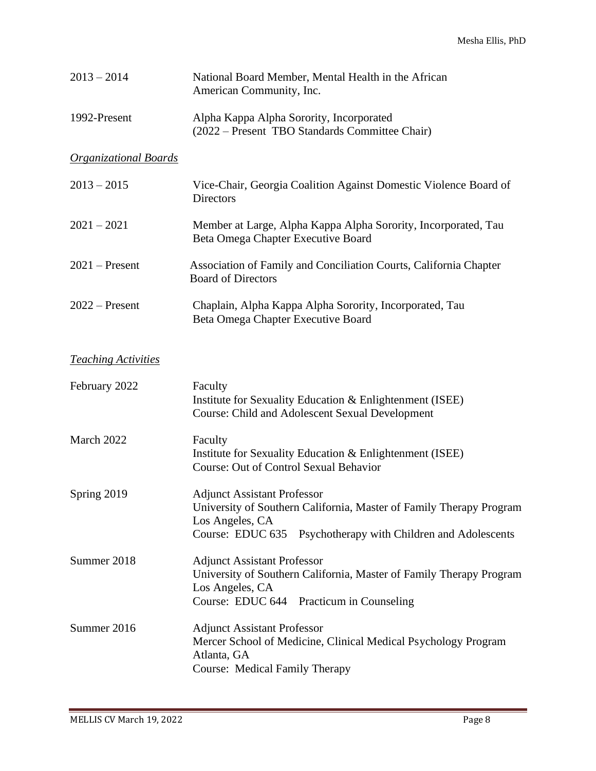| $2013 - 2014$                | National Board Member, Mental Health in the African<br>American Community, Inc.                                                                                                                 |
|------------------------------|-------------------------------------------------------------------------------------------------------------------------------------------------------------------------------------------------|
| 1992-Present                 | Alpha Kappa Alpha Sorority, Incorporated<br>(2022 – Present TBO Standards Committee Chair)                                                                                                      |
| <b>Organizational Boards</b> |                                                                                                                                                                                                 |
| $2013 - 2015$                | Vice-Chair, Georgia Coalition Against Domestic Violence Board of<br><b>Directors</b>                                                                                                            |
| $2021 - 2021$                | Member at Large, Alpha Kappa Alpha Sorority, Incorporated, Tau<br>Beta Omega Chapter Executive Board                                                                                            |
| $2021$ – Present             | Association of Family and Conciliation Courts, California Chapter<br><b>Board of Directors</b>                                                                                                  |
| $2022 -$ Present             | Chaplain, Alpha Kappa Alpha Sorority, Incorporated, Tau<br>Beta Omega Chapter Executive Board                                                                                                   |
| <b>Teaching Activities</b>   |                                                                                                                                                                                                 |
| February 2022                | Faculty<br>Institute for Sexuality Education & Enlightenment (ISEE)<br>Course: Child and Adolescent Sexual Development                                                                          |
| March 2022                   | Faculty<br>Institute for Sexuality Education & Enlightenment (ISEE)<br><b>Course: Out of Control Sexual Behavior</b>                                                                            |
| Spring 2019                  | <b>Adjunct Assistant Professor</b><br>University of Southern California, Master of Family Therapy Program<br>Los Angeles, CA<br>Course: EDUC 635<br>Psychotherapy with Children and Adolescents |
| Summer 2018                  | <b>Adjunct Assistant Professor</b><br>University of Southern California, Master of Family Therapy Program<br>Los Angeles, CA<br>Course: EDUC 644 Practicum in Counseling                        |
| Summer 2016                  | <b>Adjunct Assistant Professor</b><br>Mercer School of Medicine, Clinical Medical Psychology Program<br>Atlanta, GA<br>Course: Medical Family Therapy                                           |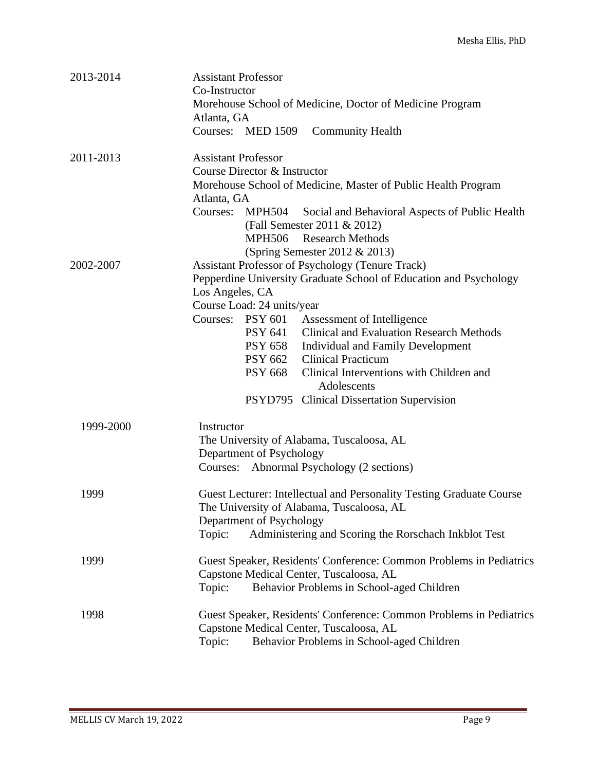| 2013-2014 | <b>Assistant Professor</b><br>Co-Instructor<br>Morehouse School of Medicine, Doctor of Medicine Program |
|-----------|---------------------------------------------------------------------------------------------------------|
|           | Atlanta, GA<br>Courses: MED 1509<br><b>Community Health</b>                                             |
| 2011-2013 | <b>Assistant Professor</b>                                                                              |
|           | Course Director & Instructor                                                                            |
|           | Morehouse School of Medicine, Master of Public Health Program                                           |
|           | Atlanta, GA                                                                                             |
|           | <b>MPH504</b><br>Social and Behavioral Aspects of Public Health<br>Courses:                             |
|           | (Fall Semester 2011 & 2012)                                                                             |
|           | MPH506 Research Methods                                                                                 |
|           | (Spring Semester 2012 $& 2013$ )                                                                        |
| 2002-2007 | <b>Assistant Professor of Psychology (Tenure Track)</b>                                                 |
|           | Pepperdine University Graduate School of Education and Psychology                                       |
|           | Los Angeles, CA                                                                                         |
|           | Course Load: 24 units/year                                                                              |
|           | Courses: PSY 601<br>Assessment of Intelligence                                                          |
|           | <b>Clinical and Evaluation Research Methods</b><br>PSY 641                                              |
|           | PSY 658 Individual and Family Development                                                               |
|           | PSY 662 Clinical Practicum<br>Clinical Interventions with Children and<br>PSY 668                       |
|           | Adolescents                                                                                             |
|           | PSYD795 Clinical Dissertation Supervision                                                               |
| 1999-2000 | Instructor                                                                                              |
|           | The University of Alabama, Tuscaloosa, AL                                                               |
|           | Department of Psychology                                                                                |
|           | Courses: Abnormal Psychology (2 sections)                                                               |
| 1999      | Guest Lecturer: Intellectual and Personality Testing Graduate Course                                    |
|           | The University of Alabama, Tuscaloosa, AL                                                               |
|           | Department of Psychology                                                                                |
|           | Topic:<br>Administering and Scoring the Rorschach Inkblot Test                                          |
| 1999      | Guest Speaker, Residents' Conference: Common Problems in Pediatrics                                     |
|           | Capstone Medical Center, Tuscaloosa, AL                                                                 |
|           | Topic:<br>Behavior Problems in School-aged Children                                                     |
| 1998      | Guest Speaker, Residents' Conference: Common Problems in Pediatrics                                     |
|           | Capstone Medical Center, Tuscaloosa, AL                                                                 |
|           | Topic:<br>Behavior Problems in School-aged Children                                                     |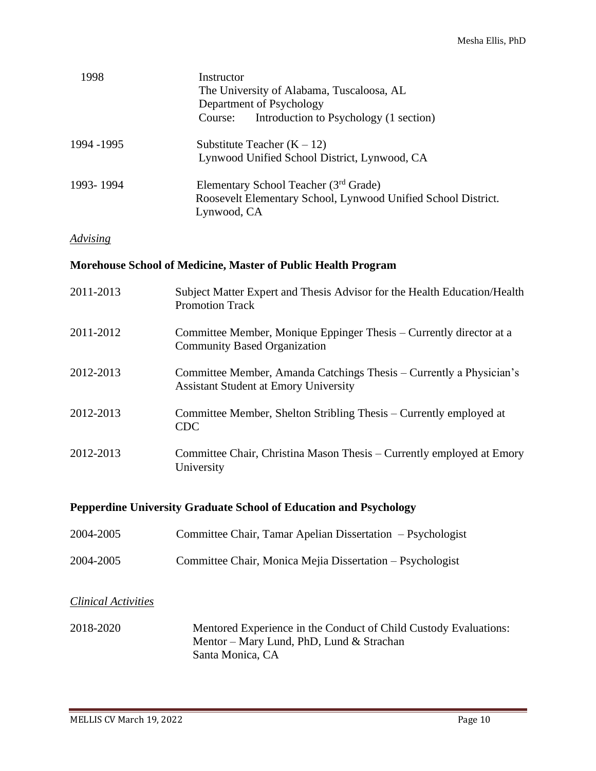| 1998       | Instructor<br>The University of Alabama, Tuscaloosa, AL<br>Department of Psychology<br>Introduction to Psychology (1 section)<br>Course: |
|------------|------------------------------------------------------------------------------------------------------------------------------------------|
| 1994 -1995 | Substitute Teacher $(K - 12)$<br>Lynwood Unified School District, Lynwood, CA                                                            |
| 1993-1994  | Elementary School Teacher (3 <sup>rd</sup> Grade)<br>Roosevelt Elementary School, Lynwood Unified School District.<br>Lynwood, CA        |

## *Advising*

#### **Morehouse School of Medicine, Master of Public Health Program**

| 2011-2013 | Subject Matter Expert and Thesis Advisor for the Health Education/Health<br><b>Promotion Track</b>                  |
|-----------|---------------------------------------------------------------------------------------------------------------------|
| 2011-2012 | Committee Member, Monique Eppinger Thesis – Currently director at a<br><b>Community Based Organization</b>          |
| 2012-2013 | Committee Member, Amanda Catchings Thesis – Currently a Physician's<br><b>Assistant Student at Emory University</b> |
| 2012-2013 | Committee Member, Shelton Stribling Thesis – Currently employed at<br><b>CDC</b>                                    |
| 2012-2013 | Committee Chair, Christina Mason Thesis – Currently employed at Emory<br>University                                 |

## **Pepperdine University Graduate School of Education and Psychology**

| 2004-2005 | Committee Chair, Tamar Apelian Dissertation – Psychologist |
|-----------|------------------------------------------------------------|
| 2004-2005 | Committee Chair, Monica Mejia Dissertation – Psychologist  |

## *Clinical Activities*

2018-2020 Mentored Experience in the Conduct of Child Custody Evaluations: Mentor – Mary Lund, PhD, Lund & Strachan Santa Monica, CA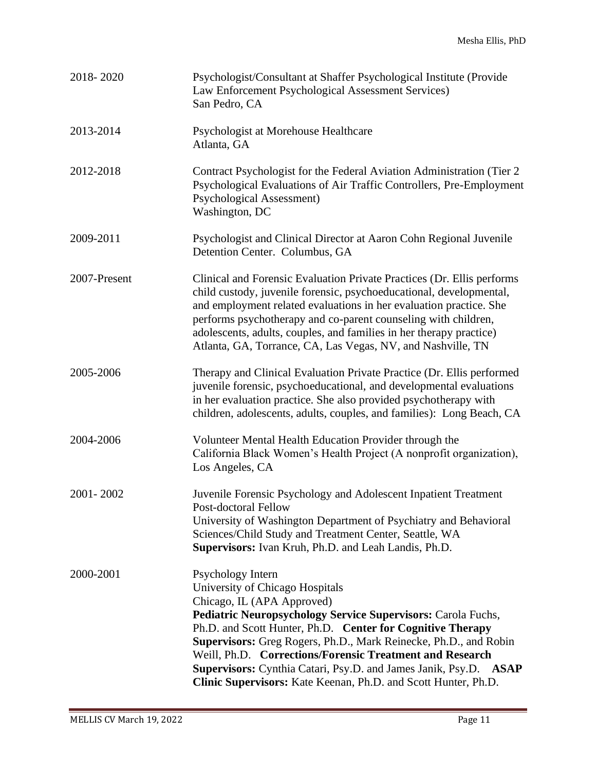| 2018-2020    | Psychologist/Consultant at Shaffer Psychological Institute (Provide<br>Law Enforcement Psychological Assessment Services)<br>San Pedro, CA                                                                                                                                                                                                                                                                                                                                             |
|--------------|----------------------------------------------------------------------------------------------------------------------------------------------------------------------------------------------------------------------------------------------------------------------------------------------------------------------------------------------------------------------------------------------------------------------------------------------------------------------------------------|
| 2013-2014    | Psychologist at Morehouse Healthcare<br>Atlanta, GA                                                                                                                                                                                                                                                                                                                                                                                                                                    |
| 2012-2018    | Contract Psychologist for the Federal Aviation Administration (Tier 2)<br>Psychological Evaluations of Air Traffic Controllers, Pre-Employment<br><b>Psychological Assessment)</b><br>Washington, DC                                                                                                                                                                                                                                                                                   |
| 2009-2011    | Psychologist and Clinical Director at Aaron Cohn Regional Juvenile<br>Detention Center. Columbus, GA                                                                                                                                                                                                                                                                                                                                                                                   |
| 2007-Present | Clinical and Forensic Evaluation Private Practices (Dr. Ellis performs<br>child custody, juvenile forensic, psychoeducational, developmental,<br>and employment related evaluations in her evaluation practice. She<br>performs psychotherapy and co-parent counseling with children,<br>adolescents, adults, couples, and families in her therapy practice)<br>Atlanta, GA, Torrance, CA, Las Vegas, NV, and Nashville, TN                                                            |
| 2005-2006    | Therapy and Clinical Evaluation Private Practice (Dr. Ellis performed<br>juvenile forensic, psychoeducational, and developmental evaluations<br>in her evaluation practice. She also provided psychotherapy with<br>children, adolescents, adults, couples, and families): Long Beach, CA                                                                                                                                                                                              |
| 2004-2006    | Volunteer Mental Health Education Provider through the<br>California Black Women's Health Project (A nonprofit organization),<br>Los Angeles, CA                                                                                                                                                                                                                                                                                                                                       |
| 2001-2002    | Juvenile Forensic Psychology and Adolescent Inpatient Treatment<br>Post-doctoral Fellow<br>University of Washington Department of Psychiatry and Behavioral<br>Sciences/Child Study and Treatment Center, Seattle, WA<br>Supervisors: Ivan Kruh, Ph.D. and Leah Landis, Ph.D.                                                                                                                                                                                                          |
| 2000-2001    | Psychology Intern<br>University of Chicago Hospitals<br>Chicago, IL (APA Approved)<br>Pediatric Neuropsychology Service Supervisors: Carola Fuchs,<br>Ph.D. and Scott Hunter, Ph.D. Center for Cognitive Therapy<br>Supervisors: Greg Rogers, Ph.D., Mark Reinecke, Ph.D., and Robin<br>Weill, Ph.D. Corrections/Forensic Treatment and Research<br>Supervisors: Cynthia Catari, Psy.D. and James Janik, Psy.D. ASAP<br>Clinic Supervisors: Kate Keenan, Ph.D. and Scott Hunter, Ph.D. |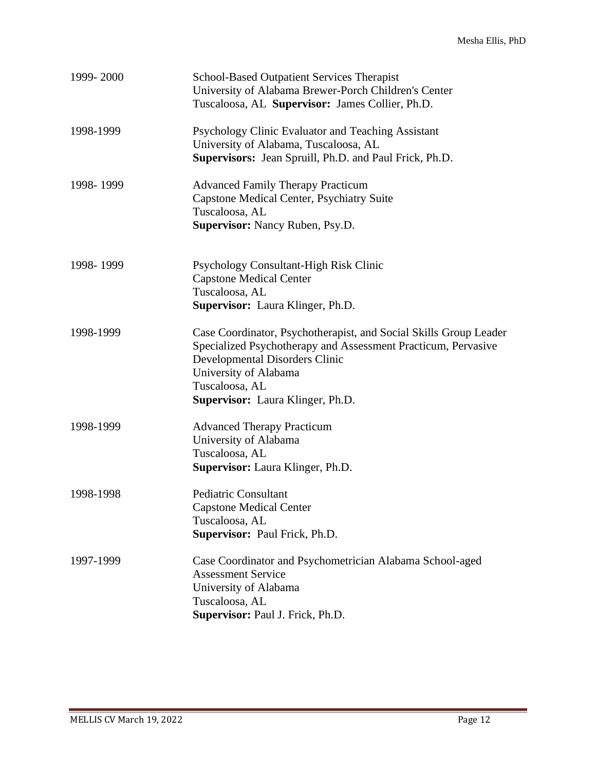| 1999-2000 | <b>School-Based Outpatient Services Therapist</b><br>University of Alabama Brewer-Porch Children's Center<br>Tuscaloosa, AL Supervisor: James Collier, Ph.D.                                                                                        |
|-----------|-----------------------------------------------------------------------------------------------------------------------------------------------------------------------------------------------------------------------------------------------------|
| 1998-1999 | Psychology Clinic Evaluator and Teaching Assistant<br>University of Alabama, Tuscaloosa, AL<br>Supervisors: Jean Spruill, Ph.D. and Paul Frick, Ph.D.                                                                                               |
| 1998-1999 | <b>Advanced Family Therapy Practicum</b><br>Capstone Medical Center, Psychiatry Suite<br>Tuscaloosa, AL<br>Supervisor: Nancy Ruben, Psy.D.                                                                                                          |
| 1998-1999 | Psychology Consultant-High Risk Clinic<br><b>Capstone Medical Center</b><br>Tuscaloosa, AL<br>Supervisor: Laura Klinger, Ph.D.                                                                                                                      |
| 1998-1999 | Case Coordinator, Psychotherapist, and Social Skills Group Leader<br>Specialized Psychotherapy and Assessment Practicum, Pervasive<br>Developmental Disorders Clinic<br>University of Alabama<br>Tuscaloosa, AL<br>Supervisor: Laura Klinger, Ph.D. |
| 1998-1999 | <b>Advanced Therapy Practicum</b><br>University of Alabama<br>Tuscaloosa, AL<br>Supervisor: Laura Klinger, Ph.D.                                                                                                                                    |
| 1998-1998 | <b>Pediatric Consultant</b><br><b>Capstone Medical Center</b><br>Tuscaloosa, AL<br>Supervisor: Paul Frick, Ph.D.                                                                                                                                    |
| 1997-1999 | Case Coordinator and Psychometrician Alabama School-aged<br><b>Assessment Service</b><br>University of Alabama<br>Tuscaloosa, AL<br>Supervisor: Paul J. Frick, Ph.D.                                                                                |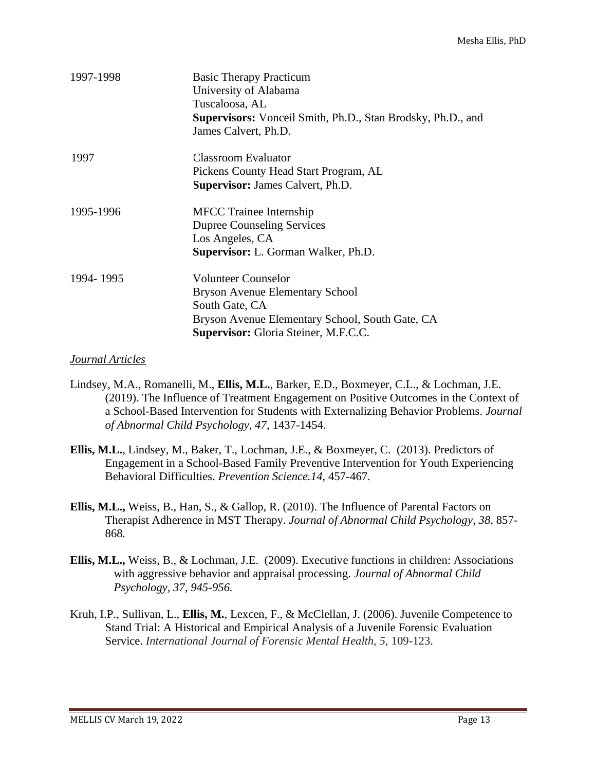| 1997-1998 | <b>Basic Therapy Practicum</b><br>University of Alabama<br>Tuscaloosa, AL<br><b>Supervisors:</b> Vonceil Smith, Ph.D., Stan Brodsky, Ph.D., and<br>James Calvert, Ph.D. |
|-----------|-------------------------------------------------------------------------------------------------------------------------------------------------------------------------|
| 1997      | Classroom Evaluator                                                                                                                                                     |
|           | Pickens County Head Start Program, AL                                                                                                                                   |
|           | <b>Supervisor: James Calvert, Ph.D.</b>                                                                                                                                 |
| 1995-1996 | <b>MFCC</b> Trainee Internship                                                                                                                                          |
|           | <b>Dupree Counseling Services</b>                                                                                                                                       |
|           | Los Angeles, CA                                                                                                                                                         |
|           | <b>Supervisor:</b> L. Gorman Walker, Ph.D.                                                                                                                              |
| 1994-1995 | <b>Volunteer Counselor</b>                                                                                                                                              |
|           | Bryson Avenue Elementary School                                                                                                                                         |
|           | South Gate, CA                                                                                                                                                          |
|           | Bryson Avenue Elementary School, South Gate, CA                                                                                                                         |
|           | <b>Supervisor:</b> Gloria Steiner, M.F.C.C.                                                                                                                             |

#### *Journal Articles*

- Lindsey, M.A., Romanelli, M., **Ellis, M.L.**, Barker, E.D., Boxmeyer, C.L., & Lochman, J.E. (2019). The Influence of Treatment Engagement on Positive Outcomes in the Context of a School-Based Intervention for Students with Externalizing Behavior Problems. *Journal of Abnormal Child Psychology, 47*, 1437-1454.
- **Ellis, M.L.**, Lindsey, M., Baker, T., Lochman, J.E., & Boxmeyer, C. (2013). Predictors of Engagement in a School-Based Family Preventive Intervention for Youth Experiencing Behavioral Difficulties. *Prevention Science.14*, 457-467.
- **Ellis, M.L.,** Weiss, B., Han, S., & Gallop, R. (2010). The Influence of Parental Factors on Therapist Adherence in MST Therapy. *Journal of Abnormal Child Psychology, 38,* 857- 868*.*
- **Ellis, M.L.,** Weiss, B., & Lochman, J.E. (2009). Executive functions in children: Associations with aggressive behavior and appraisal processing. *Journal of Abnormal Child Psychology, 37, 945-956.*
- Kruh, I.P., Sullivan, L., **Ellis, M.**, Lexcen, F., & McClellan, J. (2006). Juvenile Competence to Stand Trial: A Historical and Empirical Analysis of a Juvenile Forensic Evaluation Service. *International Journal of Forensic Mental Health, 5, 109-123.*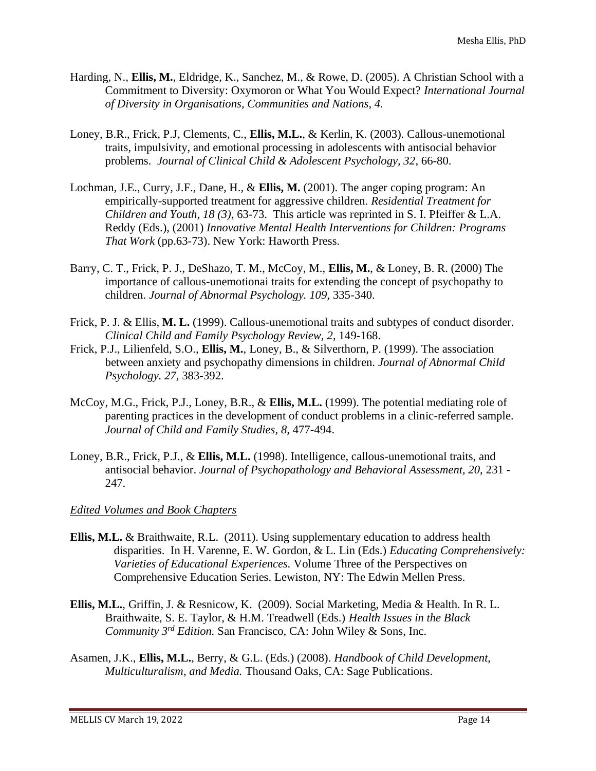- Harding, N., **Ellis, M.**, Eldridge, K., Sanchez, M., & Rowe, D. (2005). A Christian School with a Commitment to Diversity: Oxymoron or What You Would Expect? *International Journal of Diversity in Organisations, Communities and Nations, 4.*
- Loney, B.R., Frick, P.J, Clements, C., **Ellis, M.L.**, & Kerlin, K. (2003). Callous-unemotional traits, impulsivity, and emotional processing in adolescents with antisocial behavior problems. *Journal of Clinical Child & Adolescent Psychology, 32*, 66-80.
- Lochman, J.E., Curry, J.F., Dane, H., & **Ellis, M.** (2001). The anger coping program: An empirically-supported treatment for aggressive children. *Residential Treatment for Children and Youth, 18 (3)*, 63-73. This article was reprinted in S. I. Pfeiffer & L.A. Reddy (Eds.), (2001) *Innovative Mental Health Interventions for Children: Programs That Work* (pp.63-73). New York: Haworth Press.
- Barry, C. T., Frick, P. J., DeShazo, T. M., McCoy, M., **Ellis, M.**, & Loney, B. R. (2000) The importance of callous-unemotionai traits for extending the concept of psychopathy to children. *Journal of Abnormal Psychology. 109,* 335-340.
- Frick, P. J. & Ellis, **M. L.** (1999). Callous-unemotional traits and subtypes of conduct disorder. *Clinical Child and Family Psychology Review, 2,* 149-168.
- Frick, P.J., Lilienfeld, S.O., **Ellis, M.**, Loney, B., & Silverthorn, P. (1999). The association between anxiety and psychopathy dimensions in children. *Journal of Abnormal Child Psychology. 27,* 383-392.
- McCoy, M.G., Frick, P.J., Loney, B.R., & **Ellis, M.L.** (1999). The potential mediating role of parenting practices in the development of conduct problems in a clinic-referred sample. *Journal of Child and Family Studies, 8,* 477-494.
- Loney, B.R., Frick, P.J., & **Ellis, M.L.** (1998). Intelligence, callous-unemotional traits, and antisocial behavior. *Journal of Psychopathology and Behavioral Assessment, 20,* 231 - 247.

## *Edited Volumes and Book Chapters*

- **Ellis, M.L.** & Braithwaite, R.L. (2011). Using supplementary education to address health disparities. In H. Varenne, E. W. Gordon, & L. Lin (Eds.) *Educating Comprehensively: Varieties of Educational Experiences.* Volume Three of the Perspectives on Comprehensive Education Series. Lewiston, NY: The Edwin Mellen Press.
- **Ellis, M.L.**, Griffin, J. & Resnicow, K. (2009). Social Marketing, Media & Health. In R. L. Braithwaite, S. E. Taylor, & H.M. Treadwell (Eds.) *Health Issues in the Black Community 3rd Edition.* San Francisco, CA: John Wiley & Sons, Inc.
- Asamen, J.K., **Ellis, M.L.**, Berry, & G.L. (Eds.) (2008). *Handbook of Child Development, Multiculturalism, and Media.* Thousand Oaks, CA: Sage Publications.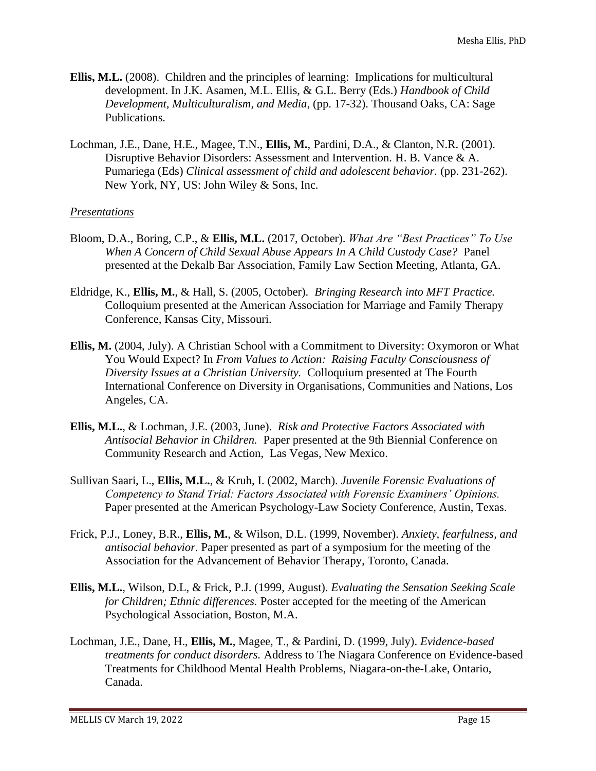- **Ellis, M.L.** (2008). Children and the principles of learning: Implications for multicultural development. In J.K. Asamen, M.L. Ellis, & G.L. Berry (Eds.) *Handbook of Child Development, Multiculturalism, and Media*, (pp. 17-32). Thousand Oaks, CA: Sage Publications*.*
- Lochman, J.E., Dane, H.E., Magee, T.N., **Ellis, M.**, Pardini, D.A., & Clanton, N.R. (2001). Disruptive Behavior Disorders: Assessment and Intervention. H. B. Vance & A. Pumariega (Eds) *Clinical assessment of child and adolescent behavior.* (pp. 231-262). New York, NY, US: John Wiley & Sons, Inc.

## *Presentations*

- Bloom, D.A., Boring, C.P., & **Ellis, M.L.** (2017, October). *What Are "Best Practices" To Use When A Concern of Child Sexual Abuse Appears In A Child Custody Case?* Panel presented at the Dekalb Bar Association, Family Law Section Meeting, Atlanta, GA.
- Eldridge, K., **Ellis, M.**, & Hall, S. (2005, October). *Bringing Research into MFT Practice.* Colloquium presented at the American Association for Marriage and Family Therapy Conference, Kansas City, Missouri.
- **Ellis, M.** (2004, July). A Christian School with a Commitment to Diversity: Oxymoron or What You Would Expect? In *From Values to Action: Raising Faculty Consciousness of Diversity Issues at a Christian University.* Colloquium presented at The Fourth International Conference on Diversity in Organisations, Communities and Nations, Los Angeles, CA.
- **Ellis, M.L.**, & Lochman, J.E. (2003, June). *Risk and Protective Factors Associated with Antisocial Behavior in Children.* Paper presented at the 9th Biennial Conference on Community Research and Action, Las Vegas, New Mexico.
- Sullivan Saari, L., **Ellis, M.L.**, & Kruh, I. (2002, March). *Juvenile Forensic Evaluations of Competency to Stand Trial: Factors Associated with Forensic Examiners' Opinions.* Paper presented at the American Psychology-Law Society Conference, Austin, Texas.
- Frick, P.J., Loney, B.R., **Ellis, M.**, & Wilson, D.L. (1999, November). *Anxiety, fearfulness, and antisocial behavior.* Paper presented as part of a symposium for the meeting of the Association for the Advancement of Behavior Therapy, Toronto, Canada.
- **Ellis, M.L.**, Wilson, D.L, & Frick, P.J. (1999, August). *Evaluating the Sensation Seeking Scale for Children; Ethnic differences.* Poster accepted for the meeting of the American Psychological Association, Boston, M.A.
- Lochman, J.E., Dane, H., **Ellis, M.**, Magee, T., & Pardini, D. (1999, July). *Evidence-based treatments for conduct disorders.* Address to The Niagara Conference on Evidence-based Treatments for Childhood Mental Health Problems, Niagara-on-the-Lake, Ontario, Canada.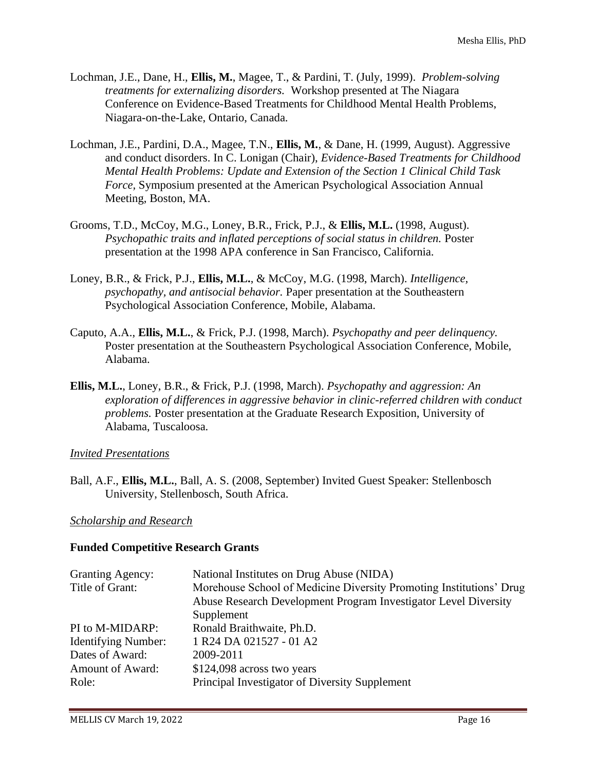- Lochman, J.E., Dane, H., **Ellis, M.**, Magee, T., & Pardini, T. (July, 1999). *Problem-solving treatments for externalizing disorders.* Workshop presented at The Niagara Conference on Evidence-Based Treatments for Childhood Mental Health Problems, Niagara-on-the-Lake, Ontario, Canada.
- Lochman, J.E., Pardini, D.A., Magee, T.N., **Ellis, M.**, & Dane, H. (1999, August). Aggressive and conduct disorders. In C. Lonigan (Chair), *Evidence-Based Treatments for Childhood Mental Health Problems: Update and Extension of the Section 1 Clinical Child Task Force,* Symposium presented at the American Psychological Association Annual Meeting, Boston, MA.
- Grooms, T.D., McCoy, M.G., Loney, B.R., Frick, P.J., & **Ellis, M.L.** (1998, August). *Psychopathic traits and inflated perceptions of social status in children.* Poster presentation at the 1998 APA conference in San Francisco, California.
- Loney, B.R., & Frick, P.J., **Ellis, M.L.**, & McCoy, M.G. (1998, March). *Intelligence, psychopathy, and antisocial behavior.* Paper presentation at the Southeastern Psychological Association Conference, Mobile, Alabama.
- Caputo, A.A., **Ellis, M.L.**, & Frick, P.J. (1998, March). *Psychopathy and peer delinquency.* Poster presentation at the Southeastern Psychological Association Conference, Mobile, Alabama.
- **Ellis, M.L.**, Loney, B.R., & Frick, P.J. (1998, March). *Psychopathy and aggression: An exploration of differences in aggressive behavior in clinic-referred children with conduct problems.* Poster presentation at the Graduate Research Exposition, University of Alabama, Tuscaloosa.

## *Invited Presentations*

Ball, A.F., **Ellis, M.L.**, Ball, A. S. (2008, September) Invited Guest Speaker: Stellenbosch University, Stellenbosch, South Africa.

## *Scholarship and Research*

#### **Funded Competitive Research Grants**

| <b>Granting Agency:</b>    | National Institutes on Drug Abuse (NIDA)                            |
|----------------------------|---------------------------------------------------------------------|
| Title of Grant:            | Morehouse School of Medicine Diversity Promoting Institutions' Drug |
|                            | Abuse Research Development Program Investigator Level Diversity     |
|                            | Supplement                                                          |
| PI to M-MIDARP:            | Ronald Braithwaite, Ph.D.                                           |
| <b>Identifying Number:</b> | 1 R <sub>24</sub> D <sub>A</sub> 021527 - 01 A <sub>2</sub>         |
| Dates of Award:            | 2009-2011                                                           |
| <b>Amount of Award:</b>    | $$124,098$ across two years                                         |
| Role:                      | Principal Investigator of Diversity Supplement                      |